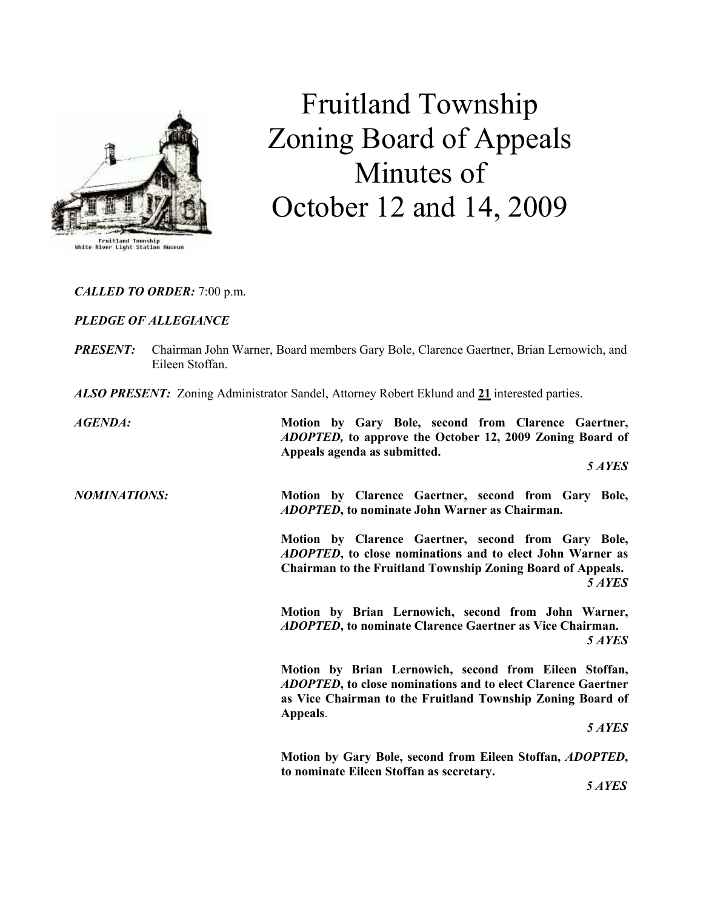

# Fruitland Township Zoning Board of Appeals Minutes of October 12 and 14, 2009

# CALLED TO ORDER: 7:00 p.m.

### PLEDGE OF ALLEGIANCE

| <b>PRESENT:</b> Chairman John Warner, Board members Gary Bole, Clarence Gaertner, Brian Lernowich, and |
|--------------------------------------------------------------------------------------------------------|
| Eileen Stoffan.                                                                                        |

ALSO PRESENT: Zoning Administrator Sandel, Attorney Robert Eklund and 21 interested parties.

| <b>AGENDA:</b>      | Motion by Gary Bole, second from Clarence Gaertner,<br><i>ADOPTED</i> , to approve the October 12, 2009 Zoning Board of<br>Appeals agenda as submitted.                                                 |
|---------------------|---------------------------------------------------------------------------------------------------------------------------------------------------------------------------------------------------------|
|                     | 5 AYES                                                                                                                                                                                                  |
| <b>NOMINATIONS:</b> | Motion by Clarence Gaertner, second from Gary Bole,<br><i>ADOPTED</i> , to nominate John Warner as Chairman.                                                                                            |
|                     | Motion by Clarence Gaertner, second from Gary Bole,<br>ADOPTED, to close nominations and to elect John Warner as<br><b>Chairman to the Fruitland Township Zoning Board of Appeals.</b><br>5 AYES        |
|                     | Motion by Brian Lernowich, second from John Warner,<br><b>ADOPTED, to nominate Clarence Gaertner as Vice Chairman.</b><br>5 AYES                                                                        |
|                     | Motion by Brian Lernowich, second from Eileen Stoffan,<br><b>ADOPTED, to close nominations and to elect Clarence Gaertner</b><br>as Vice Chairman to the Fruitland Township Zoning Board of<br>Appeals. |
|                     | 5 AYES                                                                                                                                                                                                  |
|                     | Motion by Gary Bole, second from Eileen Stoffan, ADOPTED,<br>to nominate Eileen Stoffan as secretary.                                                                                                   |
|                     | 5 AYES                                                                                                                                                                                                  |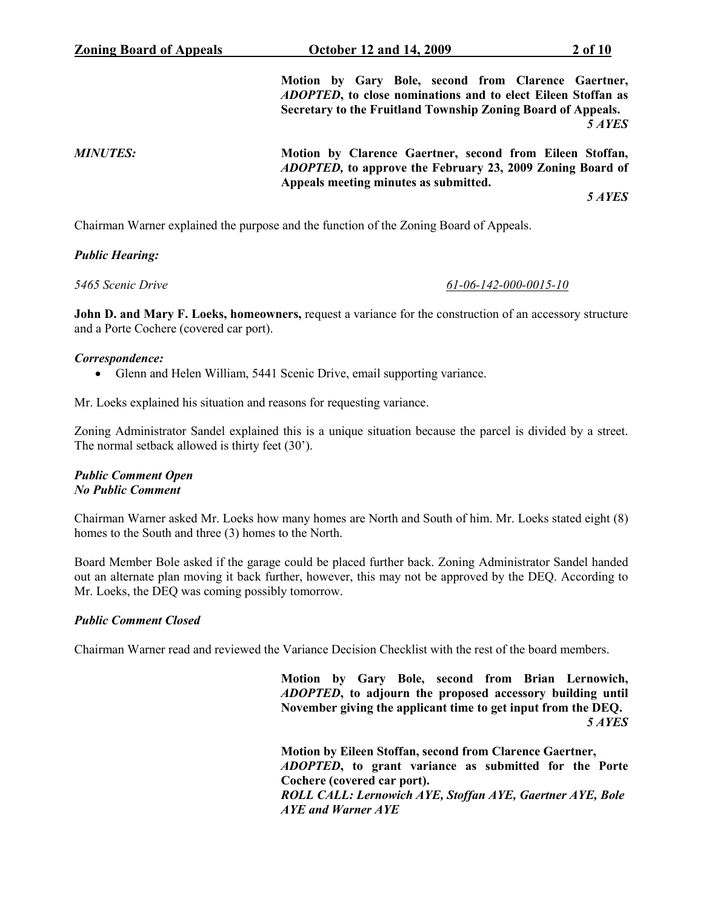Motion by Gary Bole, second from Clarence Gaertner, ADOPTED, to close nominations and to elect Eileen Stoffan as Secretary to the Fruitland Township Zoning Board of Appeals. 5 AYES

MINUTES: Motion by Clarence Gaertner, second from Eileen Stoffan, ADOPTED, to approve the February 23, 2009 Zoning Board of Appeals meeting minutes as submitted.

5 AYES

Chairman Warner explained the purpose and the function of the Zoning Board of Appeals.

#### Public Hearing:

#### 5465 Scenic Drive 61-06-142-000-0015-10

John D. and Mary F. Loeks, homeowners, request a variance for the construction of an accessory structure and a Porte Cochere (covered car port).

#### Correspondence:

• Glenn and Helen William, 5441 Scenic Drive, email supporting variance.

Mr. Loeks explained his situation and reasons for requesting variance.

Zoning Administrator Sandel explained this is a unique situation because the parcel is divided by a street. The normal setback allowed is thirty feet (30').

#### Public Comment Open No Public Comment

Chairman Warner asked Mr. Loeks how many homes are North and South of him. Mr. Loeks stated eight (8) homes to the South and three (3) homes to the North.

Board Member Bole asked if the garage could be placed further back. Zoning Administrator Sandel handed out an alternate plan moving it back further, however, this may not be approved by the DEQ. According to Mr. Loeks, the DEQ was coming possibly tomorrow.

#### Public Comment Closed

Chairman Warner read and reviewed the Variance Decision Checklist with the rest of the board members.

 Motion by Gary Bole, second from Brian Lernowich, ADOPTED, to adjourn the proposed accessory building until November giving the applicant time to get input from the DEQ. 5 AYES

> Motion by Eileen Stoffan, second from Clarence Gaertner, ADOPTED, to grant variance as submitted for the Porte Cochere (covered car port). ROLL CALL: Lernowich AYE, Stoffan AYE, Gaertner AYE, Bole AYE and Warner AYE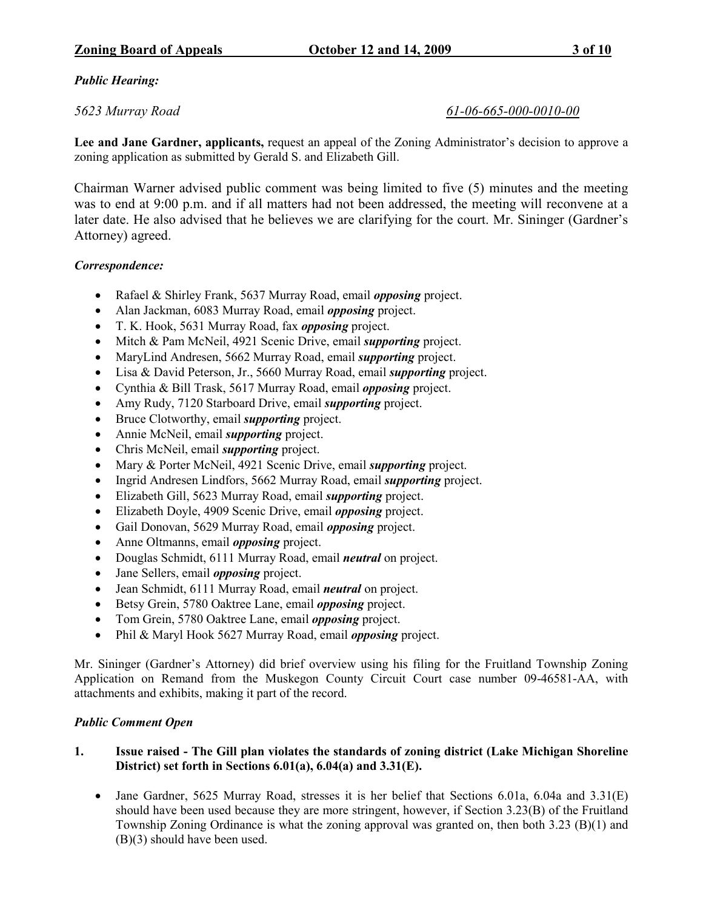# Public Hearing:

# 5623 Murray Road 61-06-665-000-0010-00

Lee and Jane Gardner, applicants, request an appeal of the Zoning Administrator's decision to approve a zoning application as submitted by Gerald S. and Elizabeth Gill.

Chairman Warner advised public comment was being limited to five (5) minutes and the meeting was to end at 9:00 p.m. and if all matters had not been addressed, the meeting will reconvene at a later date. He also advised that he believes we are clarifying for the court. Mr. Sininger (Gardner's Attorney) agreed.

# Correspondence:

- Rafael & Shirley Frank, 5637 Murray Road, email *opposing* project.
- Alan Jackman, 6083 Murray Road, email *opposing* project.
- T. K. Hook, 5631 Murray Road, fax opposing project.
- Mitch & Pam McNeil, 4921 Scenic Drive, email *supporting* project.
- MaryLind Andresen, 5662 Murray Road, email *supporting* project.
- Lisa & David Peterson, Jr., 5660 Murray Road, email *supporting* project.
- Cynthia & Bill Trask, 5617 Murray Road, email opposing project.
- Amy Rudy, 7120 Starboard Drive, email *supporting* project.
- Bruce Clotworthy, email *supporting* project.
- Annie McNeil, email *supporting* project.
- Chris McNeil, email *supporting* project.
- Mary & Porter McNeil, 4921 Scenic Drive, email *supporting* project.
- Ingrid Andresen Lindfors, 5662 Murray Road, email *supporting* project.
- Elizabeth Gill, 5623 Murray Road, email *supporting* project.
- Elizabeth Doyle, 4909 Scenic Drive, email *opposing* project.
- Gail Donovan, 5629 Murray Road, email *opposing* project.
- Anne Oltmanns, email *opposing* project.
- Douglas Schmidt, 6111 Murray Road, email neutral on project.
- Jane Sellers, email *opposing* project.
- Jean Schmidt, 6111 Murray Road, email *neutral* on project.
- Betsy Grein, 5780 Oaktree Lane, email *opposing* project.
- Tom Grein, 5780 Oaktree Lane, email *opposing* project.
- Phil & Maryl Hook 5627 Murray Road, email *opposing* project.

Mr. Sininger (Gardner's Attorney) did brief overview using his filing for the Fruitland Township Zoning Application on Remand from the Muskegon County Circuit Court case number 09-46581-AA, with attachments and exhibits, making it part of the record.

# Public Comment Open

# 1. Issue raised - The Gill plan violates the standards of zoning district (Lake Michigan Shoreline District) set forth in Sections 6.01(a), 6.04(a) and 3.31(E).

• Jane Gardner, 5625 Murray Road, stresses it is her belief that Sections 6.01a, 6.04a and 3.31(E) should have been used because they are more stringent, however, if Section 3.23(B) of the Fruitland Township Zoning Ordinance is what the zoning approval was granted on, then both 3.23 (B)(1) and (B)(3) should have been used.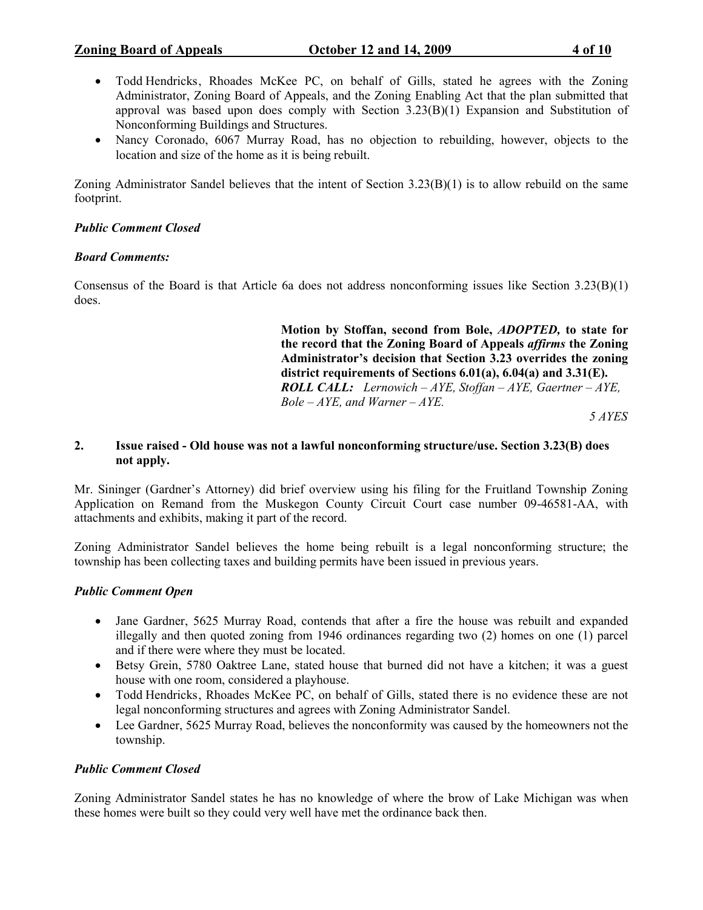- Todd Hendricks, Rhoades McKee PC, on behalf of Gills, stated he agrees with the Zoning Administrator, Zoning Board of Appeals, and the Zoning Enabling Act that the plan submitted that approval was based upon does comply with Section  $3.23(B)(1)$  Expansion and Substitution of Nonconforming Buildings and Structures.
- Nancy Coronado, 6067 Murray Road, has no objection to rebuilding, however, objects to the location and size of the home as it is being rebuilt.

Zoning Administrator Sandel believes that the intent of Section 3.23(B)(1) is to allow rebuild on the same footprint.

# Public Comment Closed

### Board Comments:

Consensus of the Board is that Article 6a does not address nonconforming issues like Section 3.23(B)(1) does.

> Motion by Stoffan, second from Bole, ADOPTED, to state for the record that the Zoning Board of Appeals affirms the Zoning Administrator's decision that Section 3.23 overrides the zoning district requirements of Sections 6.01(a), 6.04(a) and 3.31(E). **ROLL CALL:** Lernowich – AYE, Stoffan – AYE, Gaertner – AYE,  $Bole - AYE$ , and Warner –  $AYE$ .

5 AYES

### 2. Issue raised - Old house was not a lawful nonconforming structure/use. Section 3.23(B) does not apply.

Mr. Sininger (Gardner's Attorney) did brief overview using his filing for the Fruitland Township Zoning Application on Remand from the Muskegon County Circuit Court case number 09-46581-AA, with attachments and exhibits, making it part of the record.

Zoning Administrator Sandel believes the home being rebuilt is a legal nonconforming structure; the township has been collecting taxes and building permits have been issued in previous years.

# Public Comment Open

- Jane Gardner, 5625 Murray Road, contends that after a fire the house was rebuilt and expanded illegally and then quoted zoning from 1946 ordinances regarding two (2) homes on one (1) parcel and if there were where they must be located.
- Betsy Grein, 5780 Oaktree Lane, stated house that burned did not have a kitchen; it was a guest house with one room, considered a playhouse.
- Todd Hendricks , Rhoades McKee PC, on behalf of Gills, stated there is no evidence these are not legal nonconforming structures and agrees with Zoning Administrator Sandel.
- Lee Gardner, 5625 Murray Road, believes the nonconformity was caused by the homeowners not the township.

# Public Comment Closed

Zoning Administrator Sandel states he has no knowledge of where the brow of Lake Michigan was when these homes were built so they could very well have met the ordinance back then.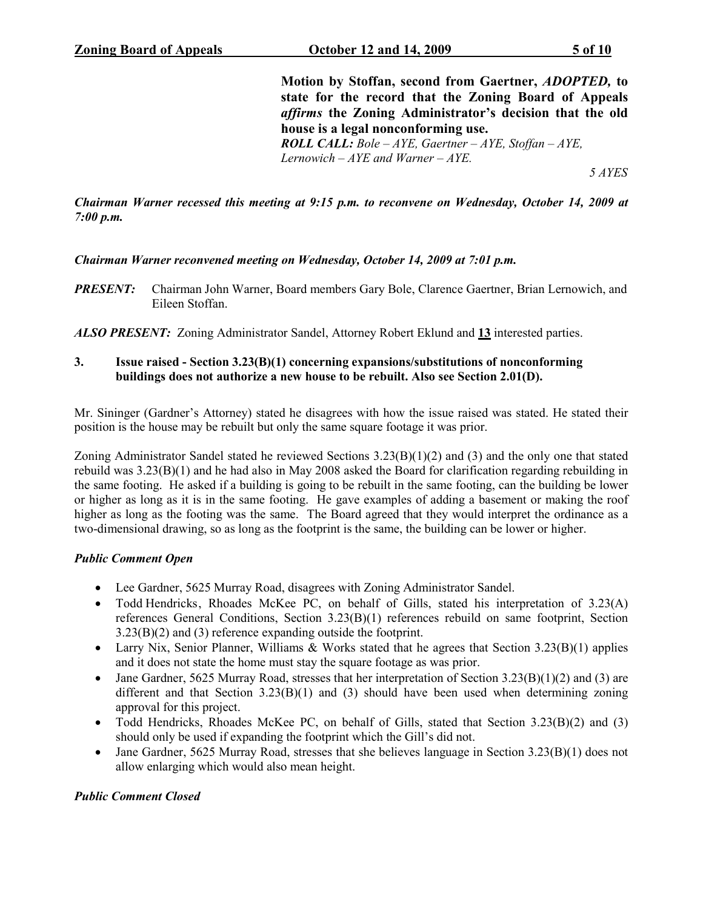Motion by Stoffan, second from Gaertner, ADOPTED, to state for the record that the Zoning Board of Appeals affirms the Zoning Administrator's decision that the old house is a legal nonconforming use. **ROLL CALL:** Bole –  $AYE$ , Gaertner –  $AYE$ , Stoffan –  $AYE$ , Lernowich –  $AYE$  and Warner –  $AYE$ . 5 AYES

Chairman Warner recessed this meeting at 9:15 p.m. to reconvene on Wednesday, October 14, 2009 at 7:00 p.m.

### Chairman Warner reconvened meeting on Wednesday, October 14, 2009 at 7:01 p.m.

**PRESENT:** Chairman John Warner, Board members Gary Bole, Clarence Gaertner, Brian Lernowich, and Eileen Stoffan.

ALSO PRESENT: Zoning Administrator Sandel, Attorney Robert Eklund and 13 interested parties.

### 3. Issue raised - Section 3.23(B)(1) concerning expansions/substitutions of nonconforming buildings does not authorize a new house to be rebuilt. Also see Section 2.01(D).

Mr. Sininger (Gardner's Attorney) stated he disagrees with how the issue raised was stated. He stated their position is the house may be rebuilt but only the same square footage it was prior.

Zoning Administrator Sandel stated he reviewed Sections  $3.23(B)(1)(2)$  and (3) and the only one that stated rebuild was 3.23(B)(1) and he had also in May 2008 asked the Board for clarification regarding rebuilding in the same footing. He asked if a building is going to be rebuilt in the same footing, can the building be lower or higher as long as it is in the same footing. He gave examples of adding a basement or making the roof higher as long as the footing was the same. The Board agreed that they would interpret the ordinance as a two-dimensional drawing, so as long as the footprint is the same, the building can be lower or higher.

#### Public Comment Open

- Lee Gardner, 5625 Murray Road, disagrees with Zoning Administrator Sandel.
- Todd Hendricks, Rhoades McKee PC, on behalf of Gills, stated his interpretation of  $3.23(A)$ references General Conditions, Section 3.23(B)(1) references rebuild on same footprint, Section 3.23(B)(2) and (3) reference expanding outside the footprint.
- Larry Nix, Senior Planner, Williams & Works stated that he agrees that Section 3.23(B)(1) applies and it does not state the home must stay the square footage as was prior.
- Jane Gardner, 5625 Murray Road, stresses that her interpretation of Section 3.23(B)(1)(2) and (3) are different and that Section  $3.23(B)(1)$  and (3) should have been used when determining zoning approval for this project.
- Todd Hendricks, Rhoades McKee PC, on behalf of Gills, stated that Section 3.23(B)(2) and (3) should only be used if expanding the footprint which the Gill's did not.
- Jane Gardner, 5625 Murray Road, stresses that she believes language in Section 3.23(B)(1) does not allow enlarging which would also mean height.

# Public Comment Closed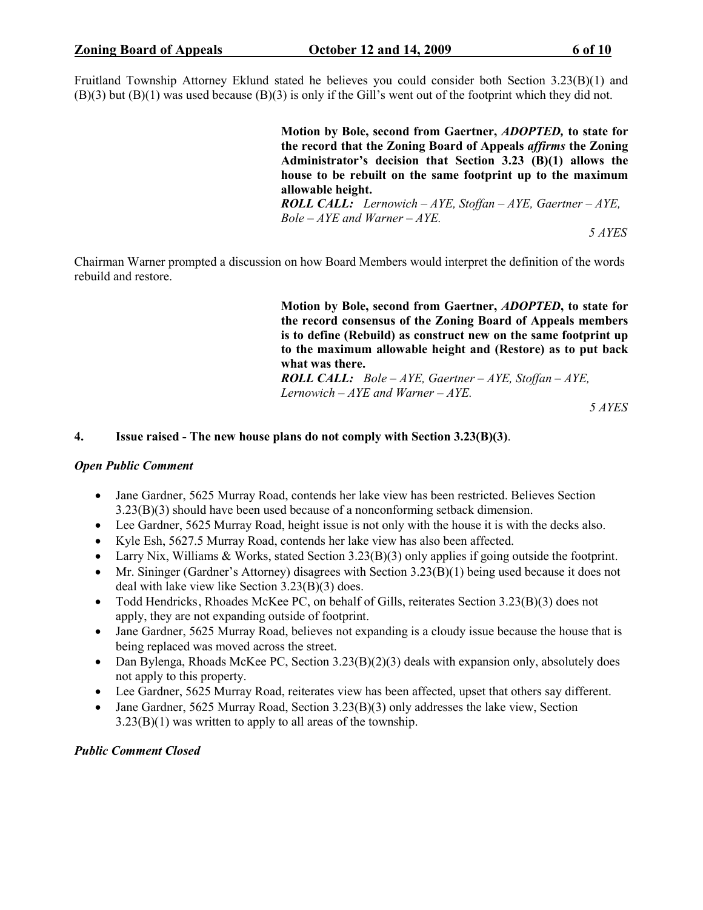Fruitland Township Attorney Eklund stated he believes you could consider both Section 3.23(B)(1) and (B)(3) but (B)(1) was used because (B)(3) is only if the Gill's went out of the footprint which they did not.

> Motion by Bole, second from Gaertner, ADOPTED, to state for the record that the Zoning Board of Appeals affirms the Zoning Administrator's decision that Section 3.23 (B)(1) allows the house to be rebuilt on the same footprint up to the maximum allowable height.

**ROLL CALL:** Lernowich – AYE, Stoffan – AYE, Gaertner – AYE,  $Bole - AYE$  and Warner  $-AYE$ .

5 AYES

Chairman Warner prompted a discussion on how Board Members would interpret the definition of the words rebuild and restore.

> Motion by Bole, second from Gaertner, ADOPTED, to state for the record consensus of the Zoning Board of Appeals members is to define (Rebuild) as construct new on the same footprint up to the maximum allowable height and (Restore) as to put back what was there.

**ROLL CALL:** Bole –  $AYE$ , Gaertner –  $AYE$ , Stoffan –  $AYE$ , Lernowich  $-AYE$  and Warner  $-AYE$ .

5 AYES

#### 4. Issue raised - The new house plans do not comply with Section 3.23(B)(3).

#### Open Public Comment

- Jane Gardner, 5625 Murray Road, contends her lake view has been restricted. Believes Section 3.23(B)(3) should have been used because of a nonconforming setback dimension.
- Lee Gardner, 5625 Murray Road, height issue is not only with the house it is with the decks also.
- Kyle Esh, 5627.5 Murray Road, contends her lake view has also been affected.
- Larry Nix, Williams & Works, stated Section 3.23(B)(3) only applies if going outside the footprint.
- Mr. Sininger (Gardner's Attorney) disagrees with Section 3.23(B)(1) being used because it does not deal with lake view like Section 3.23(B)(3) does.
- Todd Hendricks, Rhoades McKee PC, on behalf of Gills, reiterates Section 3.23(B)(3) does not apply, they are not expanding outside of footprint.
- Jane Gardner, 5625 Murray Road, believes not expanding is a cloudy issue because the house that is being replaced was moved across the street.
- Dan Bylenga, Rhoads McKee PC, Section 3.23(B)(2)(3) deals with expansion only, absolutely does not apply to this property.
- Lee Gardner, 5625 Murray Road, reiterates view has been affected, upset that others say different.
- Jane Gardner, 5625 Murray Road, Section 3.23(B)(3) only addresses the lake view, Section 3.23(B)(1) was written to apply to all areas of the township.

#### Public Comment Closed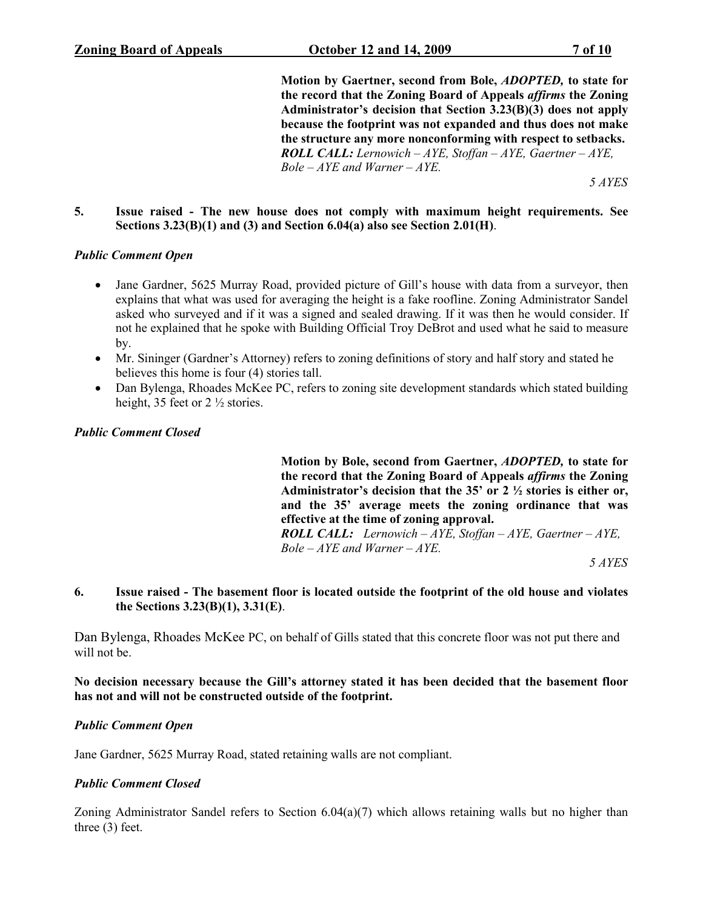Motion by Gaertner, second from Bole, ADOPTED, to state for the record that the Zoning Board of Appeals affirms the Zoning Administrator's decision that Section 3.23(B)(3) does not apply because the footprint was not expanded and thus does not make the structure any more nonconforming with respect to setbacks. **ROLL CALL:** Lernowich – AYE, Stoffan – AYE, Gaertner – AYE,  $Bole - AYE$  and Warner  $-AYE$ .

5 AYES

#### 5. Issue raised - The new house does not comply with maximum height requirements. See Sections 3.23(B)(1) and (3) and Section 6.04(a) also see Section 2.01(H).

#### Public Comment Open

- Jane Gardner, 5625 Murray Road, provided picture of Gill's house with data from a surveyor, then explains that what was used for averaging the height is a fake roofline. Zoning Administrator Sandel asked who surveyed and if it was a signed and sealed drawing. If it was then he would consider. If not he explained that he spoke with Building Official Troy DeBrot and used what he said to measure by.
- Mr. Sininger (Gardner's Attorney) refers to zoning definitions of story and half story and stated he believes this home is four (4) stories tall.
- Dan Bylenga, Rhoades McKee PC, refers to zoning site development standards which stated building height, 35 feet or 2  $\frac{1}{2}$  stories.

Public Comment Closed

Motion by Bole, second from Gaertner, ADOPTED, to state for the record that the Zoning Board of Appeals affirms the Zoning Administrator's decision that the 35' or 2 ½ stories is either or, and the 35' average meets the zoning ordinance that was effective at the time of zoning approval. **ROLL CALL:** Lernowich  $-AYE$ , Stoffan  $-AYE$ , Gaertner  $-AYE$ ,

 $Bole - AYE$  and Warner  $-AYE$ .

5 AYES

#### 6. Issue raised - The basement floor is located outside the footprint of the old house and violates the Sections 3.23(B)(1), 3.31(E).

Dan Bylenga, Rhoades McKee PC, on behalf of Gills stated that this concrete floor was not put there and will not be.

No decision necessary because the Gill's attorney stated it has been decided that the basement floor has not and will not be constructed outside of the footprint.

#### Public Comment Open

Jane Gardner, 5625 Murray Road, stated retaining walls are not compliant.

#### Public Comment Closed

Zoning Administrator Sandel refers to Section 6.04(a)(7) which allows retaining walls but no higher than three (3) feet.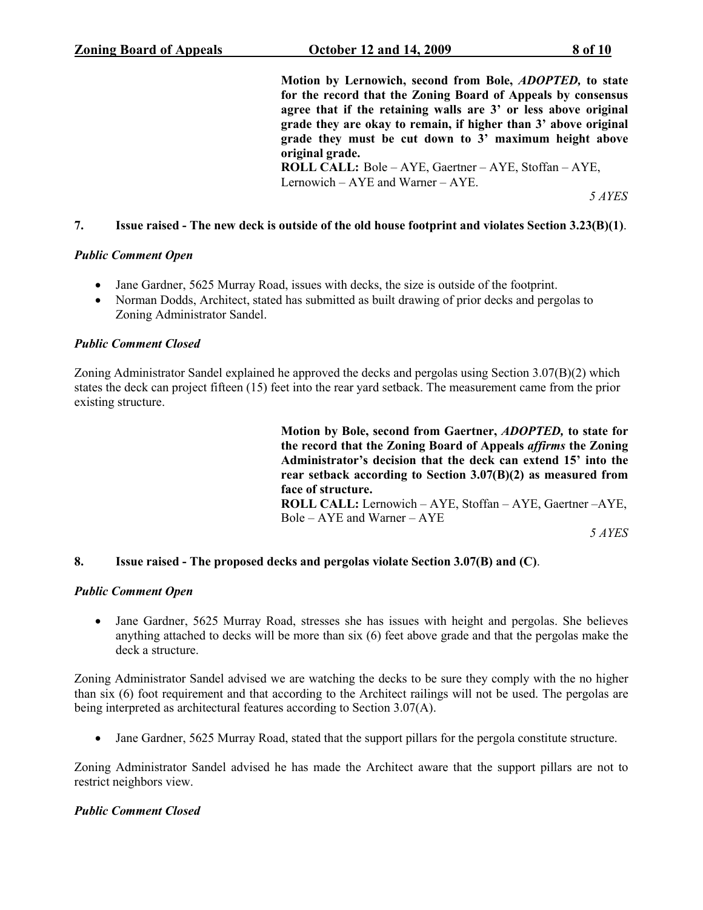Motion by Lernowich, second from Bole, ADOPTED, to state for the record that the Zoning Board of Appeals by consensus agree that if the retaining walls are 3' or less above original grade they are okay to remain, if higher than 3' above original grade they must be cut down to 3' maximum height above original grade. ROLL CALL: Bole – AYE, Gaertner – AYE, Stoffan – AYE,

Lernowich – AYE and Warner – AYE.

5 AYES

#### 7. Issue raised - The new deck is outside of the old house footprint and violates Section 3.23(B)(1).

#### Public Comment Open

- Jane Gardner, 5625 Murray Road, issues with decks, the size is outside of the footprint.
- Norman Dodds, Architect, stated has submitted as built drawing of prior decks and pergolas to Zoning Administrator Sandel.

#### Public Comment Closed

Zoning Administrator Sandel explained he approved the decks and pergolas using Section 3.07(B)(2) which states the deck can project fifteen (15) feet into the rear yard setback. The measurement came from the prior existing structure.

> Motion by Bole, second from Gaertner, ADOPTED, to state for the record that the Zoning Board of Appeals affirms the Zoning Administrator's decision that the deck can extend 15' into the rear setback according to Section 3.07(B)(2) as measured from face of structure. ROLL CALL: Lernowich – AYE, Stoffan – AYE, Gaertner –AYE, Bole – AYE and Warner – AYE

5 AYES

#### 8. Issue raised - The proposed decks and pergolas violate Section 3.07(B) and (C).

#### Public Comment Open

• Jane Gardner, 5625 Murray Road, stresses she has issues with height and pergolas. She believes anything attached to decks will be more than six (6) feet above grade and that the pergolas make the deck a structure.

Zoning Administrator Sandel advised we are watching the decks to be sure they comply with the no higher than six (6) foot requirement and that according to the Architect railings will not be used. The pergolas are being interpreted as architectural features according to Section 3.07(A).

• Jane Gardner, 5625 Murray Road, stated that the support pillars for the pergola constitute structure.

Zoning Administrator Sandel advised he has made the Architect aware that the support pillars are not to restrict neighbors view.

#### Public Comment Closed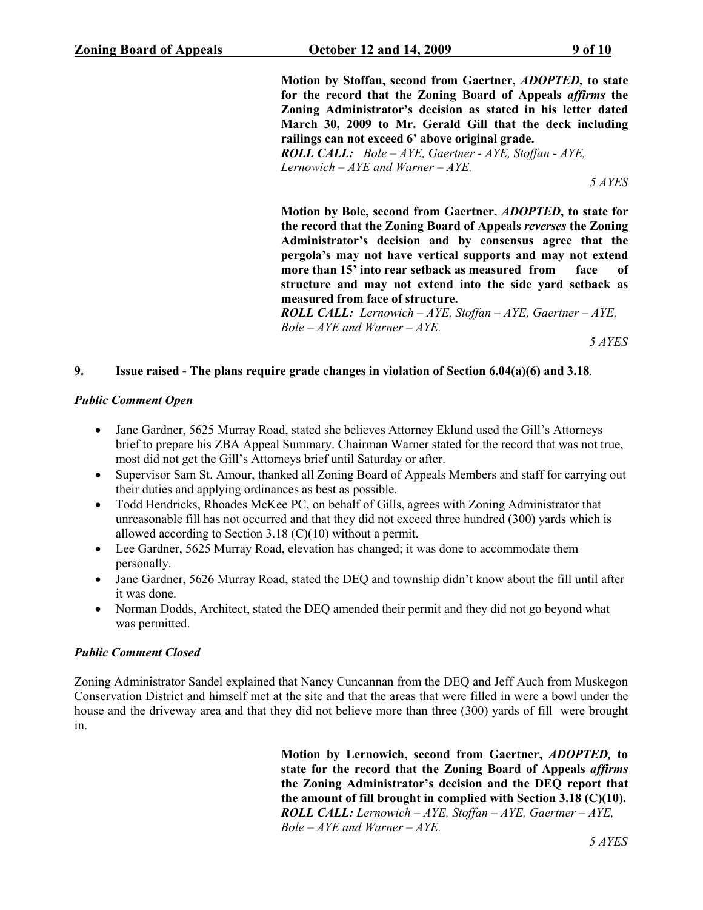Motion by Stoffan, second from Gaertner, ADOPTED, to state for the record that the Zoning Board of Appeals affirms the Zoning Administrator's decision as stated in his letter dated March 30, 2009 to Mr. Gerald Gill that the deck including railings can not exceed 6' above original grade. ROLL CALL: Bole – AYE, Gaertner - AYE, Stoffan - AYE, Lernowich –  $AYE$  and Warner –  $AYE$ . 5 AYES

Motion by Bole, second from Gaertner, ADOPTED, to state for the record that the Zoning Board of Appeals reverses the Zoning Administrator's decision and by consensus agree that the pergola's may not have vertical supports and may not extend more than 15' into rear setback as measured from face of structure and may not extend into the side yard setback as measured from face of structure.

**ROLL CALL:** Lernowich – AYE, Stoffan – AYE, Gaertner – AYE,  $Bole - AYE$  and Warner  $-AYE$ .

5 AYES

#### 9. Issue raised - The plans require grade changes in violation of Section 6.04(a)(6) and 3.18.

#### Public Comment Open

- Jane Gardner, 5625 Murray Road, stated she believes Attorney Eklund used the Gill's Attorneys brief to prepare his ZBA Appeal Summary. Chairman Warner stated for the record that was not true, most did not get the Gill's Attorneys brief until Saturday or after.
- Supervisor Sam St. Amour, thanked all Zoning Board of Appeals Members and staff for carrying out their duties and applying ordinances as best as possible.
- Todd Hendricks, Rhoades McKee PC, on behalf of Gills, agrees with Zoning Administrator that unreasonable fill has not occurred and that they did not exceed three hundred (300) yards which is allowed according to Section 3.18 (C)(10) without a permit.
- Lee Gardner, 5625 Murray Road, elevation has changed; it was done to accommodate them personally.
- Jane Gardner, 5626 Murray Road, stated the DEQ and township didn't know about the fill until after it was done.
- Norman Dodds, Architect, stated the DEQ amended their permit and they did not go beyond what was permitted.

#### Public Comment Closed

Zoning Administrator Sandel explained that Nancy Cuncannan from the DEQ and Jeff Auch from Muskegon Conservation District and himself met at the site and that the areas that were filled in were a bowl under the house and the driveway area and that they did not believe more than three (300) yards of fill were brought in.

> Motion by Lernowich, second from Gaertner, ADOPTED, to state for the record that the Zoning Board of Appeals affirms the Zoning Administrator's decision and the DEQ report that the amount of fill brought in complied with Section 3.18 (C)(10). **ROLL CALL:** Lernowich – AYE, Stoffan – AYE, Gaertner – AYE,  $Bole - AYE$  and Warner  $-AYE$ .